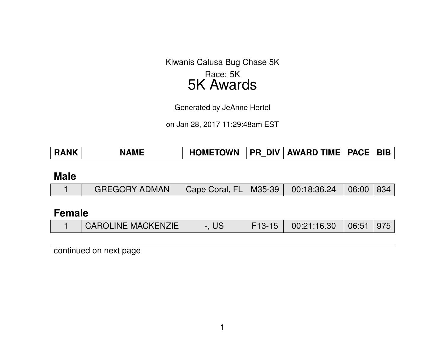Kiwanis Calusa Bug Chase 5K Race: 5K 5K Awards

Generated by JeAnne Hertel

on Jan 28, 2017 11:29:48am EST

| <b>RANK</b> | <b>NAMF</b> | <b>HOMETOWN</b> |  | <b>PR DIV AWARD TIME   PACE  </b> |  | <b>BIB</b> |
|-------------|-------------|-----------------|--|-----------------------------------|--|------------|
|-------------|-------------|-----------------|--|-----------------------------------|--|------------|

#### **Male**

|  | <b>GREGORY ADMAN</b> | Cape Coral, FL   M35-39   00:18:36.24   06:00   834 |  |  |  |  |
|--|----------------------|-----------------------------------------------------|--|--|--|--|
|--|----------------------|-----------------------------------------------------|--|--|--|--|

### **Female**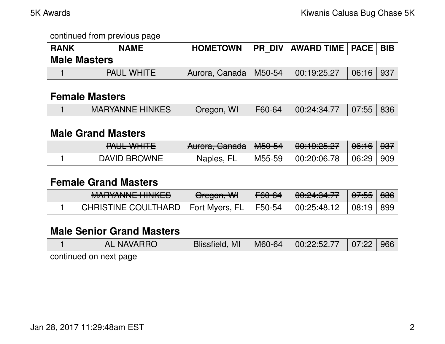| <b>RANK</b> | <b>NAME</b>         | <b>HOMETOWN</b>         | PR_DIV   AWARD TIME   PACE   BIB |       |     |
|-------------|---------------------|-------------------------|----------------------------------|-------|-----|
|             | <b>Male Masters</b> |                         |                                  |       |     |
|             | <b>PAUL WHITE</b>   | Aurora, Canada   M50-54 | 00:19:25.27                      | 06:16 | 937 |

#### **Female Masters**

|  | <b>MARYANNE HINKES</b> | Oregon, WI |  | $\mid$ F60-64 $\mid$ 00:24:34.77 $\mid$ 07:55 836 |  |  |
|--|------------------------|------------|--|---------------------------------------------------|--|--|
|--|------------------------|------------|--|---------------------------------------------------|--|--|

### **Male Grand Masters**

| TAUL WITH L  | Rurora, Canada   M50-54 |          | <u>AA.1A.AE AZ</u><br>$\overline{00.13.43.47}$ |             |  |
|--------------|-------------------------|----------|------------------------------------------------|-------------|--|
| DAVID BROWNE | Naples, FL              | M55-59 l | $\vert\phantom{0}00$ :20:06.78                 | 06:29   909 |  |

#### **Female Grand Masters**

| <b>MADVANNIE LIINIIZEO</b><br><u>WALLANTE TIINKLO</u> | Oregon, WH | F60-64 | <del>00:24:34.77</del>    | <del>07:55</del> ∣ <del>836</del> ∣ |  |
|-------------------------------------------------------|------------|--------|---------------------------|-------------------------------------|--|
| CHRISTINE COULTHARD   Fort Myers, FL   F50-54         |            |        | $\frac{1}{2}$ 00:25:48.12 | 08:19   899                         |  |

# **Male Senior Grand Masters**

| <b>AL NAVARRO</b>                                                                                    | Blissfield, MI   M60-64   00:22:52.77   07:22   966 |  |  |
|------------------------------------------------------------------------------------------------------|-----------------------------------------------------|--|--|
| a shekarar 1992 - An tarihin shekarar 1992 - An tarihin shekarar 1992 - An tarihin shekarar 1993 - A |                                                     |  |  |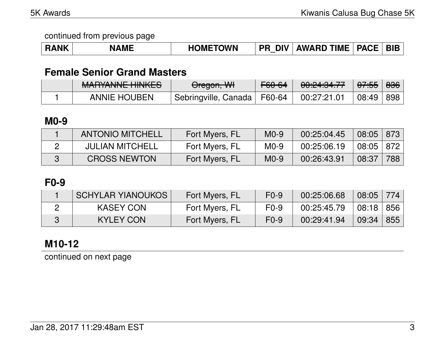| <b>RANK</b> | <b>NME</b> | <b>HOMETOWN</b> | <b>DIV</b><br><b>PR</b> | <b>AWARD TIME</b> | <b>PACE</b> | <b>BIE</b> |
|-------------|------------|-----------------|-------------------------|-------------------|-------------|------------|
|-------------|------------|-----------------|-------------------------|-------------------|-------------|------------|

# **Female Senior Grand Masters**

| MADVANNIE LIINIIZEO<br><u>MALUANNE HINKEJ</u> | <del>Oregon, WI</del>         | F60-64 | 0.0101317<br>00. <del>41</del> .04.77 | <del>07:55</del> | <del>836</del> |
|-----------------------------------------------|-------------------------------|--------|---------------------------------------|------------------|----------------|
| <b>ANNIE HOUBEN</b>                           | Sebringville, Canada   F60-64 |        | 00:27:21.01                           | 08:49   898      |                |

### **M0-9**

| <b>ANTONIO MITCHELL</b> | Fort Myers, FL | $M0-9$ | 00:25:04.45 | $08:05$ 873      |     |
|-------------------------|----------------|--------|-------------|------------------|-----|
| <b>JULIAN MITCHELL</b>  | Fort Myers, FL | $M0-9$ | 00:25:06.19 | $08:05 \mid 872$ |     |
| <b>CROSS NEWTON</b>     | Fort Myers, FL | $M0-9$ | 00:26:43.91 | 08:37            | 788 |

# **F0-9**

| <b>SCHYLAR YIANOUKOS</b> | Fort Myers, FL | $F0-9$ | 00:25:06.68 | 08:05                             | 774 |
|--------------------------|----------------|--------|-------------|-----------------------------------|-----|
| <b>KASEY CON</b>         | Fort Myers, FL | $F0-9$ | 00:25:45.79 | $\vert$ 08:18 $\vert$ 856 $\vert$ |     |
| <b>KYLEY CON</b>         | Fort Myers, FL | $F0-9$ | 00:29:41.94 | 09:34   855                       |     |

# **M10-12**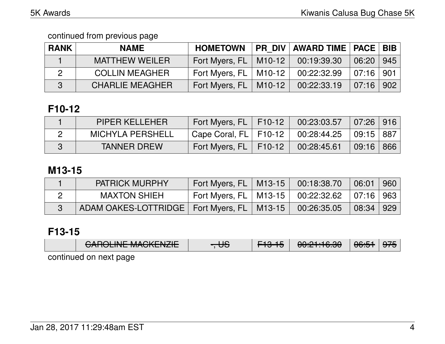| <b>RANK</b> | <b>NAME</b>            | <b>HOMETOWN</b>           | <b>PR DIV AWARD TIME PACE BIB</b> |                                |  |
|-------------|------------------------|---------------------------|-----------------------------------|--------------------------------|--|
|             | <b>MATTHEW WEILER</b>  | Fort Myers, $FL$   M10-12 | 00:19:39.30                       | $06:20$ 945                    |  |
|             | <b>COLLIN MEAGHER</b>  | Fort Myers, FL   M10-12   | 00:22:32.99                       | $07:16$   901                  |  |
| 3           | <b>CHARLIE MEAGHER</b> | Fort Myers, $FL$   M10-12 | 00:22:33.19                       | $\mid$ 07:16 $\mid$ 902 $\mid$ |  |

# **F10-12**

| <b>PIPER KELLEHER</b>   | Fort Myers, FL   F10-12   | $\mid$ 00:23:03.57 $\mid$ 07:26 $\mid$ 916 $\mid$ |             |  |
|-------------------------|---------------------------|---------------------------------------------------|-------------|--|
| <b>MICHYLA PERSHELL</b> | Cape Coral, $FL$   F10-12 | $00:28:44.25$ $\parallel$                         | 09:15 887   |  |
| TANNER DREW             | Fort Myers, $FL$   F10-12 | 00:28:45.61                                       | $09:16$ 866 |  |

### **M13-15**

| <b>PATRICK MURPHY</b>                          | Fort Myers, FL   M13-15                                  | 00:18:38.70                            | 06:01            | 960 |
|------------------------------------------------|----------------------------------------------------------|----------------------------------------|------------------|-----|
| <b>MAXTON SHIEH</b>                            | $^{\circ}$ Fort Myers, FL $\parallel$ M13-15 $\parallel$ | $00:22:32.62 \; \mid 07:16 \mid 963$ , |                  |     |
| ADAM OAKES-LOTTRIDGE   Fort Myers, FL   M13-15 |                                                          | 00:26:35.05                            | $08:34 \mid 929$ |     |

# **F13-15**

|                                                    | CADOLINIE MACIZENIZIE<br><u>UMIULINE MAUNENZIE</u> | ᡂ | <u>ਸਰਸਰ</u> | 0.01.100<br><del>uu. בה האוס</del> | $\triangle$ C.E.1<br>᠊ᠸᠦᡂ |  |  |  |  |
|----------------------------------------------------|----------------------------------------------------|---|-------------|------------------------------------|---------------------------|--|--|--|--|
| المنمام مناطبتم مناميما المامينية والمستطاعين ماما |                                                    |   |             |                                    |                           |  |  |  |  |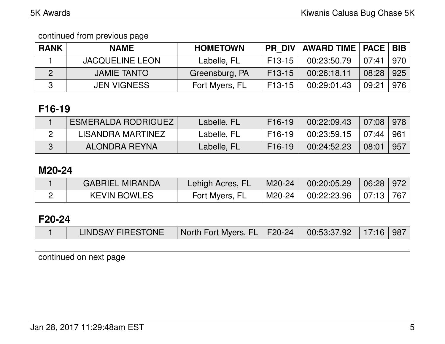continued from previous page

| <b>RANK</b> | <b>NAME</b>            | <b>HOMETOWN</b> |          | PR_DIV   AWARD TIME   PACE   BIB |           |     |
|-------------|------------------------|-----------------|----------|----------------------------------|-----------|-----|
|             | <b>JACQUELINE LEON</b> | Labelle, FL     | $F13-15$ | 00:23:50.79                      | 07:41 970 |     |
|             | <b>JAMIE TANTO</b>     | Greensburg, PA  | F13-15   | 00:26:18.11                      | 08:28     | 925 |
|             | <b>JEN VIGNESS</b>     | Fort Myers, FL  | F13-15   | 00:29:01.43                      | 09:21     | 976 |

# **F16-19**

| <b>ESMERALDA RODRIGUEZ</b> | Labelle, FL | F <sub>16</sub> -19 | 00:22:09.43 | $07:08$   978 |     |
|----------------------------|-------------|---------------------|-------------|---------------|-----|
| LISANDRA MARTINEZ          | Labelle, FL | F16-19              | 00:23:59.15 | 07:44 961     |     |
| ALONDRA REYNA              | Labelle, FL | F <sub>16</sub> -19 | 00:24:52.23 | 08:01         | 957 |

### **M20-24**

| <b>GABRIEL MIRANDA</b> | Lehigh Acres, FL | $\mid$ M20-24 $\mid$ 00:20:05.29   | 06:28 972 |  |
|------------------------|------------------|------------------------------------|-----------|--|
| <b>KEVIN BOWLES</b>    | Fort Myers, FL   | M20-24   00:22:23.96   07:13   767 |           |  |

# **F20-24**

|  | LINDSAY FIRESTONE | North Fort Myers, FL   F20-24   00:53:37.92   17:16   987 |  |  |  |  |
|--|-------------------|-----------------------------------------------------------|--|--|--|--|
|--|-------------------|-----------------------------------------------------------|--|--|--|--|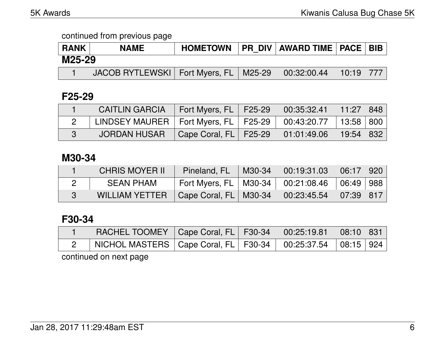| <b>RANK</b> | <b>NAME</b>                               |  | HOMETOWN   PR DIV   AWARD TIME   PACE   BIB |  |
|-------------|-------------------------------------------|--|---------------------------------------------|--|
| M25-29      |                                           |  |                                             |  |
|             | JACOB RYTLEWSKI   Fort Myers, FL   M25-29 |  | $00:32:00.44$   10:19   777                 |  |

#### **F25-29**

| <b>CAITLIN GARCIA</b>                                                | Fort Myers, FL   F25-29   00:35:32.41   11:27   848 |  |  |
|----------------------------------------------------------------------|-----------------------------------------------------|--|--|
| LINDSEY MAURER   Fort Myers, FL   F25-29   00:43:20.77   13:58   800 |                                                     |  |  |
| JORDAN HUSAR                                                         | Cape Coral, FL   F25-29   01:01:49.06   19:54   832 |  |  |

#### **M30-34**

| <b>CHRIS MOYER II</b> | Pineland, $FL$   M30-34                             | $\begin{array}{ c c c c c c c c } \hline 00:19:31.03 & 06:17 & 920 \hline \end{array}$ |  |
|-----------------------|-----------------------------------------------------|----------------------------------------------------------------------------------------|--|
| <b>SEAN PHAM</b>      | Fort Myers, FL   M30-34   00:21:08.46   06:49   988 |                                                                                        |  |
| <b>WILLIAM YETTER</b> | $\vert$ Cape Coral, FL $\vert$ M30-34 $\vert$       | $00:23:45.54$ 07:39 817                                                                |  |

### **F30-34**

| RACHEL TOOMEY   Cape Coral, FL   F30-34   00:25:19.81   08:10   831  |  |  |  |
|----------------------------------------------------------------------|--|--|--|
| NICHOL MASTERS   Cape Coral, FL   F30-34   00:25:37.54   08:15   924 |  |  |  |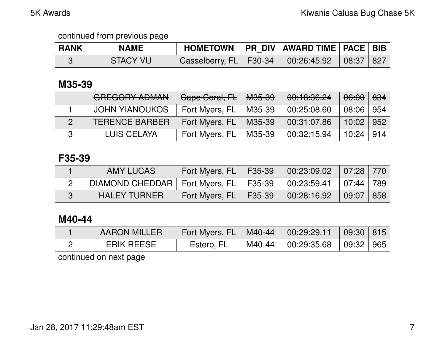| <b>RANK</b> | <b>NAME</b>     | HOMETOWN   PR DIV   AWARD TIME   PACE   BIB          |  |  |
|-------------|-----------------|------------------------------------------------------|--|--|
|             | <b>STACY VU</b> | Casselberry, FL   F30-34   00:26:45.92   08:37   827 |  |  |

### **M35-39**

| CDECODY ADMAN<br><b>UNLUVIN APIWAN</b> | Gape Goral, FL | <del>M35-39</del> | 00:10:36.24 | <del>06:00</del> | 834   |
|----------------------------------------|----------------|-------------------|-------------|------------------|-------|
| <b>JOHN YIANOUKOS</b>                  | Fort Myers, FL | M35-39            | 00:25:08.60 | 08:06            | 954   |
| <b>TERENCE BARBER</b>                  | Fort Myers, FL | M35-39            | 00:31:07.86 | 10:02            | ∣ 952 |
| LUIS CELAYA                            | Fort Myers, FL | M35-39            | 00:32:15.94 | $10:24$   914    |       |

## **F35-39**

| AMY LUCAS           | Fort Myers, $FL$   F35-39 |                                                                                                                                                                                 |  |
|---------------------|---------------------------|---------------------------------------------------------------------------------------------------------------------------------------------------------------------------------|--|
|                     |                           |                                                                                                                                                                                 |  |
| <b>HALEY TURNER</b> | Fort Myers, FL   F35-39   | $\begin{array}{ c c c c c c c c } \hline \rule{0pt}{1.5ex} & \rule{0pt}{2.5ex} 00:28:16.92 & \rule{0pt}{2.5ex} & \rule{0pt}{2.5ex} 09:07 & \rule{0pt}{2.5ex} & 858 \end{array}$ |  |

## **M40-44**

| <b>AARON MILLER</b> | Fort Myers, FL   M40-44   00:29:29.11   09:30   815 |                              |  |
|---------------------|-----------------------------------------------------|------------------------------|--|
| <b>ERIK REESE</b>   | Estero, FL                                          | M40-44 00:29:35.68 09:32 965 |  |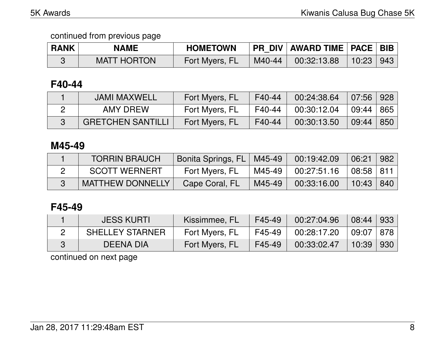| <b>RANK</b> | <b>NAME</b>        | <b>HOMETOWN</b> |               | PR DIV   AWARD TIME   PACE   BIB |           |  |
|-------------|--------------------|-----------------|---------------|----------------------------------|-----------|--|
|             | <b>MATT HORTON</b> | Fort Myers, FL  | $\mid$ M40-44 | 00:32:13.88                      | 10:23 943 |  |

### **F40-44**

| <b>JAMI MAXWELL</b>      | Fort Myers, FL | F40-44 | 00:24:38.64 | $07:56$ 928 |  |
|--------------------------|----------------|--------|-------------|-------------|--|
| AMY DREW                 | Fort Myers, FL | F40-44 | 00:30:12.04 | $09:44$ 865 |  |
| <b>GRETCHEN SANTILLI</b> | Fort Myers, FL | F40-44 | 00:30:13.50 | $09:44$ 850 |  |

#### **M45-49**

| <b>TORRIN BRAUCH</b>    | Bonita Springs, FL   M45-49 |        | 00:19:42.09             | $06:21$   982 |  |
|-------------------------|-----------------------------|--------|-------------------------|---------------|--|
| <b>SCOTT WERNERT</b>    | Fort Myers, FL              | M45-49 | $00:27:51.16$ 08:58 811 |               |  |
| <b>MATTHEW DONNELLY</b> | Cape Coral, FL              | M45-49 | 00:33:16.00             | $10:43$   840 |  |

## **F45-49**

| <b>JESS KURTI</b>      | Kissimmee, FL  | F45-49 | 00:27:04.96 | 08:44 933                  |  |
|------------------------|----------------|--------|-------------|----------------------------|--|
| <b>SHELLEY STARNER</b> | Fort Myers, FL | F45-49 | 00:28:17.20 | $\mid 09:07 \mid 878 \mid$ |  |
| DEENA DIA              | Fort Myers, FL | F45-49 | 00:33:02.47 | $10:39$   930              |  |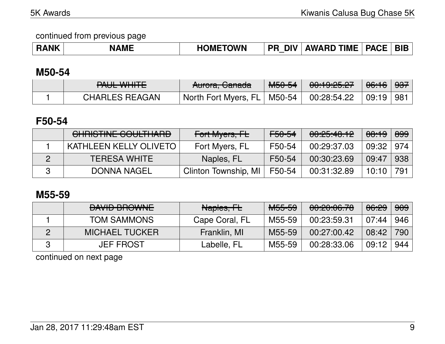| <b>RANK</b><br><b>AME</b> | <b>HOMETOWN</b> | <b>DIV</b><br><b>PR</b> | <b>AWARD TIME</b> | PACE BIB |  |
|---------------------------|-----------------|-------------------------|-------------------|----------|--|
|---------------------------|-----------------|-------------------------|-------------------|----------|--|

#### **M50-54**

| $D$ $I$ $II$ $I$ $I$ $II$ $II$ $T$ $T$<br><b>INGLIVITIE</b> | <del>Aurora, Canada</del>                            | M <sub>50-54</sub> | 0.100507<br><del>uu.itu.cu</del> | <del>06:16</del> ∂  | ∕ <del>937</del> ⁄ |
|-------------------------------------------------------------|------------------------------------------------------|--------------------|----------------------------------|---------------------|--------------------|
| <b>CHARLES REAGAN</b>                                       | $^{\circ}$ North Fort Myers, FL $\mid$ M50-54 $\mid$ |                    | 00:28:54.22                      | $\mid$ 09:19 $\mid$ | 「981」              |

# **F50-54**

| <u>CUDICTINIE COULTUADD</u><br><u>UTIMOTINE UUULITIMITU</u> | Fort Myers, FL       | <del>F50-54</del> | 00:25:40.12 | <del>08:19</del> | 899        |
|-------------------------------------------------------------|----------------------|-------------------|-------------|------------------|------------|
| <b>KATHLEEN KELLY OLIVETO</b>                               | Fort Myers, FL       | F50-54            | 00:29:37.03 | 09:32            | $\mid$ 974 |
| <b>TERESA WHITE</b>                                         | Naples, FL           | F50-54            | 00:30:23.69 | 09:47            | 938        |
| DONNA NAGEL                                                 | Clinton Township, MI | F50-54            | 00:31:32.89 | 10:10            | $+794$     |

# **M55-59**

| <b>DAVID DDOWNIE</b><br><b>DAVID DI IU VINE</b> | Naples, FL     | <del>M55-59</del> | <u>AA.AA.AC 70</u><br><u>00.20.00.70</u> | 06:29 | <del>909</del> |
|-------------------------------------------------|----------------|-------------------|------------------------------------------|-------|----------------|
| <b>TOM SAMMONS</b>                              | Cape Coral, FL | M55-59            | 00:23:59.31                              | 07:44 | 946            |
| <b>MICHAEL TUCKER</b>                           | Franklin, MI   | M55-59            | 00:27:00.42                              | 08:42 | 790            |
| <b>JEF FROST</b>                                | Labelle, FL    | M55-59            | 00:28:33.06                              | 09:12 | 944            |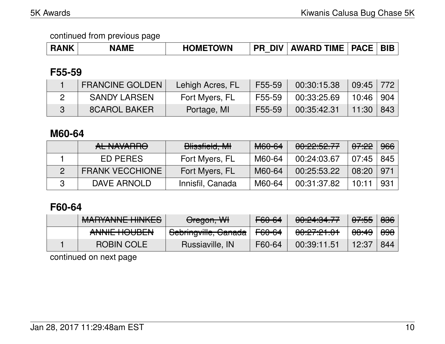| <b>RANK</b> | <b>NAME</b> | <b>HOMETOWN</b> | DIV.<br><b>PR</b> | <b>AWARD TIME   PACE  </b> |  | <b>BIB</b> |
|-------------|-------------|-----------------|-------------------|----------------------------|--|------------|
|-------------|-------------|-----------------|-------------------|----------------------------|--|------------|

## **F55-59**

| <b>FRANCINE GOLDEN</b> | Lehigh Acres, FL | F55-59 | 00:30:15.38 | $09:45$ 772 |  |
|------------------------|------------------|--------|-------------|-------------|--|
| <b>SANDY LARSEN</b>    | Fort Myers, FL   | F55-59 | 00:33:25.69 | 10:46   904 |  |
| <b>8CAROL BAKER</b>    | Portage, MI      | F55-59 | 00:35:42.31 | $11:30$ 843 |  |

### **M60-64**

| AL NIAVIA DOQ<br><b>ALIVAVALUTU</b> | Blissfield, MI   | M60-64 | 0.005077<br>UU.C.C. JC. I. I | <del>07:22</del> | 966 |
|-------------------------------------|------------------|--------|------------------------------|------------------|-----|
| ED PERES                            | Fort Myers, FL   | M60-64 | 00:24:03.67                  | 07:45            | 845 |
| <b>FRANK VECCHIONE</b>              | Fort Myers, FL   | M60-64 | 00:25:53.22                  | 08:20            | 971 |
| DAVE ARNOLD                         | Innisfil, Canada | M60-64 | 00:31:37.82                  | 10:11            | 931 |

# **F60-64**

| <b>MARYANNE HINKES</b>                | Oregon, WH           | F60-64            | 0.010177<br>00. <del>41.04.77</del> | <del>07:55</del> | <del>836</del>   |
|---------------------------------------|----------------------|-------------------|-------------------------------------|------------------|------------------|
| ANNUE LIAUDEN<br><b>AITHL HUUDLIT</b> | Sebringville, Ganada | <del>F60-64</del> | <u>AA.A7.A1 A1</u><br>00.61.61.01   | <del>08:49</del> | <del>898</del> ∣ |
| <b>ROBIN COLE</b>                     | Russiaville, IN      | F60-64            | 00:39:11.51                         | 12:37            | 844              |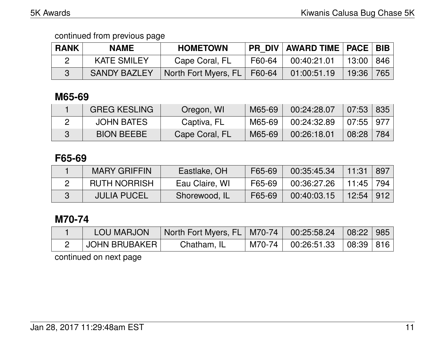| <b>RANK</b> | <b>NAME</b>         | <b>HOMETOWN</b>      |        | <b>PR DIV   AWARD TIME   PACE   BIB  </b> |             |     |
|-------------|---------------------|----------------------|--------|-------------------------------------------|-------------|-----|
|             | <b>KATE SMILEY</b>  | Cape Coral, FL       | F60-64 | 00:40:21.01                               | 13:00   846 |     |
|             | <b>SANDY BAZLEY</b> | North Fort Myers, FL | F60-64 | 01:00:51.19                               | 19:36       | 765 |

# **M65-69**

| <b>GREG KESLING</b> | Oregon, WI     | M65-69 | 00:24:28.07 | 07:53     | 835 |
|---------------------|----------------|--------|-------------|-----------|-----|
| <b>JOHN BATES</b>   | Captiva, FL    | M65-69 | 00:24:32.89 | 07:55 977 |     |
| <b>BION BEEBE</b>   | Cape Coral, FL | M65-69 | 00:26:18.01 | 08:28     | 784 |

## **F65-69**

| <b>MARY GRIFFIN</b> | Eastlake, OH   | F65-69 | 00:35:45.34 | 11:31       | 897 |
|---------------------|----------------|--------|-------------|-------------|-----|
| <b>RUTH NORRISH</b> | Eau Claire, WI | F65-69 | 00:36:27.26 | 11:45   794 |     |
| <b>JULIA PUCEL</b>  | Shorewood, IL  | F65-69 | 00:40:03.15 | 12:54   912 |     |

# **M70-74**

| M70-74 00:26:51.33 08:39 816<br>JOHN BRUBAKER  <br>Chatham, IL |  |
|----------------------------------------------------------------|--|